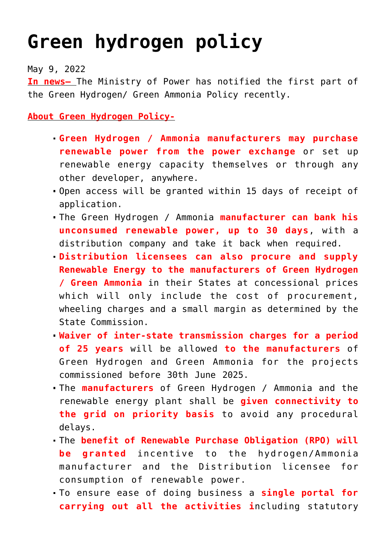## **[Green hydrogen policy](https://journalsofindia.com/green-hydrogen-policy/)**

May 9, 2022

**In news–** The Ministry of Power has notified the first part of the Green Hydrogen/ Green Ammonia Policy recently.

**About Green Hydrogen Policy-**

- **Green Hydrogen / Ammonia manufacturers may purchase renewable power from the power exchange** or set up renewable energy capacity themselves or through any other developer, anywhere.
- Open access will be granted within 15 days of receipt of application.
- The Green Hydrogen / Ammonia **manufacturer can bank his unconsumed renewable power, up to 30 days**, with a distribution company and take it back when required.
- **Distribution licensees can also procure and supply Renewable Energy to the manufacturers of Green Hydrogen / Green Ammonia** in their States at concessional prices which will only include the cost of procurement, wheeling charges and a small margin as determined by the State Commission.
- **Waiver of inter-state transmission charges for a period of 25 years** will be allowed **to the manufacturers** of Green Hydrogen and Green Ammonia for the projects commissioned before 30th June 2025.
- The **manufacturers** of Green Hydrogen / Ammonia and the renewable energy plant shall be **given connectivity to the grid on priority basis** to avoid any procedural delays.
- The **benefit of Renewable Purchase Obligation (RPO) will be granted** incentive to the hydrogen/Ammonia manufacturer and the Distribution licensee for consumption of renewable power.
- To ensure ease of doing business a **single portal for carrying out all the activities i**ncluding statutory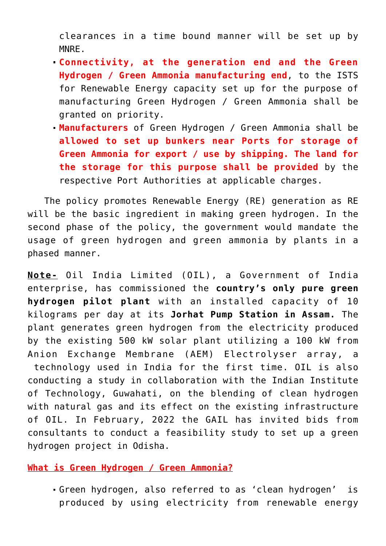clearances in a time bound manner will be set up by MNRE.

- **Connectivity, at the generation end and the Green Hydrogen / Green Ammonia manufacturing end**, to the ISTS for Renewable Energy capacity set up for the purpose of manufacturing Green Hydrogen / Green Ammonia shall be granted on priority.
- **Manufacturers** of Green Hydrogen / Green Ammonia shall be **allowed to set up bunkers near Ports for storage of Green Ammonia for export / use by shipping. The land for the storage for this purpose shall be provided** by the respective Port Authorities at applicable charges.

 The policy promotes Renewable Energy (RE) generation as RE will be the basic ingredient in making green hydrogen. In the second phase of the policy, the government would mandate the usage of green hydrogen and green ammonia by plants in a phased manner.

**Note-** Oil India Limited (OIL), a Government of India enterprise, has commissioned the **country's only pure green hydrogen pilot plant** with an installed capacity of 10 kilograms per day at its **Jorhat Pump Station in Assam.** The plant generates green hydrogen from the electricity produced by the existing 500 kW solar plant utilizing a 100 kW from Anion Exchange Membrane (AEM) Electrolyser array, a technology used in India for the first time. OIL is also conducting a study in collaboration with the Indian Institute of Technology, Guwahati, on the blending of clean hydrogen with natural gas and its effect on the existing infrastructure of OIL. In February, 2022 the GAIL has invited bids from consultants to conduct a feasibility study to set up a green hydrogen project in Odisha.

**What is Green Hydrogen / Green Ammonia?**

Green hydrogen, also referred to as 'clean hydrogen' is produced by using electricity from renewable energy